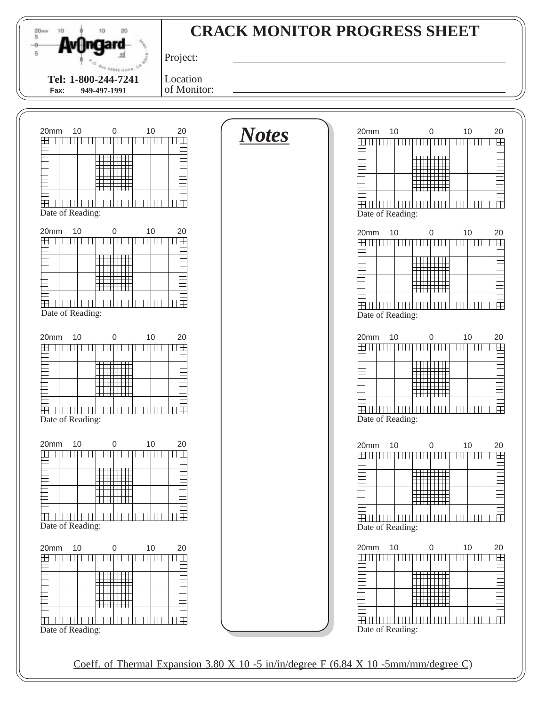

 **Fax: 949-497-1991 Tel: 1-800-244-7241**

## **CRACK MONITOR PROGRESS SHEET**

Project: Location of Monitor:

*Notes*

| 10<br>20mm<br>10<br>0<br>20<br>I<br>$\mathsf{H}$<br>$\perp$<br>Date of Reading:           |
|-------------------------------------------------------------------------------------------|
| 20mm<br>10<br>10<br>20<br>0<br>Date of Reading:                                           |
| 10<br>20mm<br>10<br>0<br>20<br>I<br>ı<br>Date of Reading:                                 |
| 20mm<br>10<br>10<br>20<br>0<br>Filmin hiikko kuulmin kuulmin k<br>Date of Reading:        |
| 20mm<br>10<br>10<br>20<br>0<br>$\boldsymbol{\Pi}$<br>Ш<br>Ш<br>П<br>I<br>Date of Reading: |

| 20mm<br>10<br>Date of Reading:                 | 0                                  | 10                      | 20      |
|------------------------------------------------|------------------------------------|-------------------------|---------|
| 20mm<br>10<br>Date of Reading:                 | 0                                  | 10                      | 20<br>H |
| 20mm<br>10<br>Date of Reading:                 | 0                                  | 10                      | 20      |
| 20mm<br>10<br>0 11 11 11 1<br>Date of Reading: | ი<br>mulumlandandanda <del>o</del> | 10                      | 20<br>ਜ |
| 20mm<br>10<br>ΠП<br>$\Box$<br>Date of Reading: | 0                                  | 10<br>L<br>$\mathsf{L}$ | 20      |

Coeff. of Thermal Expansion 3.80 X 10 -5 in/in/degree F (6.84 X 10 -5mm/mm/degree C)